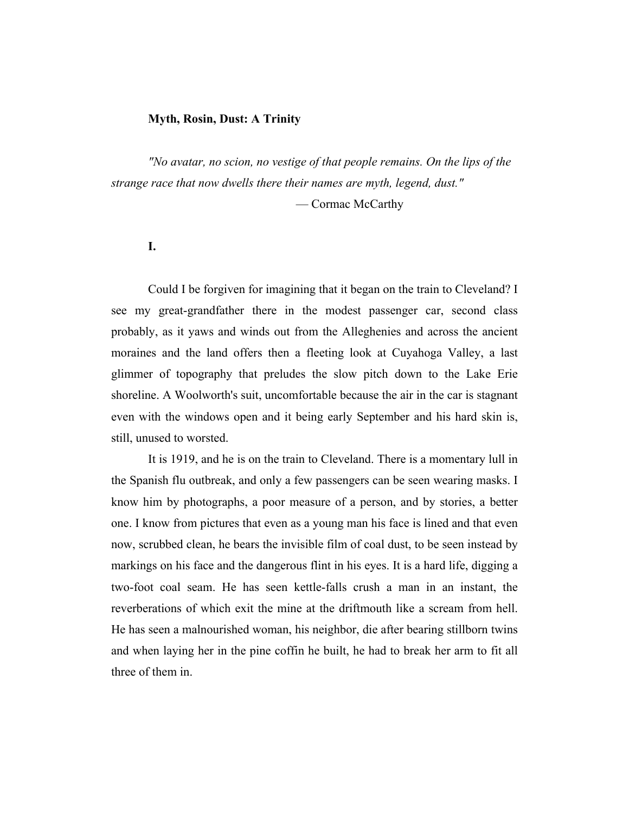## **Myth, Rosin, Dust: A Trinity**

*"No avatar, no scion, no vestige of that people remains. On the lips of the strange race that now dwells there their names are myth, legend, dust."*  — Cormac McCarthy

#### **I.**

Could I be forgiven for imagining that it began on the train to Cleveland? I see my great-grandfather there in the modest passenger car, second class probably, as it yaws and winds out from the Alleghenies and across the ancient moraines and the land offers then a fleeting look at Cuyahoga Valley, a last glimmer of topography that preludes the slow pitch down to the Lake Erie shoreline. A Woolworth's suit, uncomfortable because the air in the car is stagnant even with the windows open and it being early September and his hard skin is, still, unused to worsted.

It is 1919, and he is on the train to Cleveland. There is a momentary lull in the Spanish flu outbreak, and only a few passengers can be seen wearing masks. I know him by photographs, a poor measure of a person, and by stories, a better one. I know from pictures that even as a young man his face is lined and that even now, scrubbed clean, he bears the invisible film of coal dust, to be seen instead by markings on his face and the dangerous flint in his eyes. It is a hard life, digging a two-foot coal seam. He has seen kettle-falls crush a man in an instant, the reverberations of which exit the mine at the driftmouth like a scream from hell. He has seen a malnourished woman, his neighbor, die after bearing stillborn twins and when laying her in the pine coffin he built, he had to break her arm to fit all three of them in.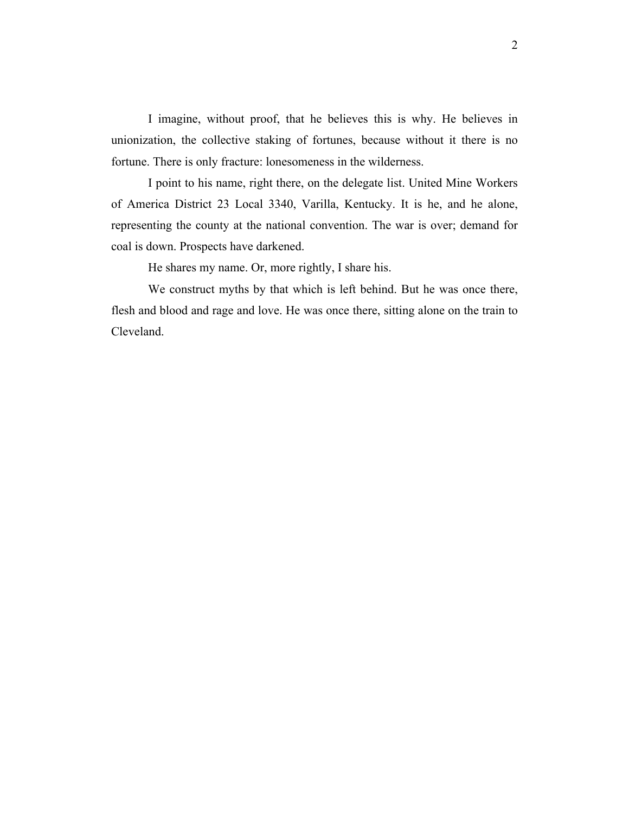I imagine, without proof, that he believes this is why. He believes in unionization, the collective staking of fortunes, because without it there is no fortune. There is only fracture: lonesomeness in the wilderness.

I point to his name, right there, on the delegate list. United Mine Workers of America District 23 Local 3340, Varilla, Kentucky. It is he, and he alone, representing the county at the national convention. The war is over; demand for coal is down. Prospects have darkened.

He shares my name. Or, more rightly, I share his.

We construct myths by that which is left behind. But he was once there, flesh and blood and rage and love. He was once there, sitting alone on the train to Cleveland.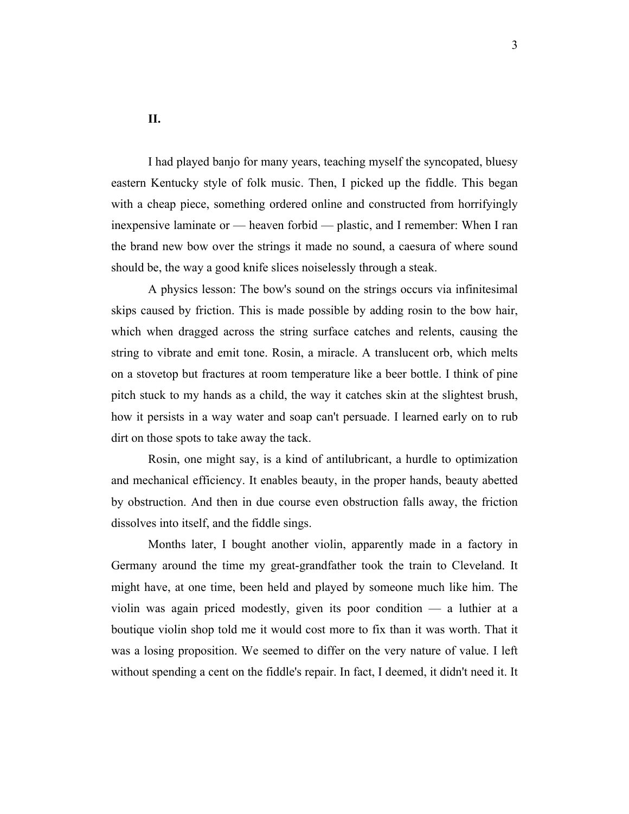**II.**

I had played banjo for many years, teaching myself the syncopated, bluesy eastern Kentucky style of folk music. Then, I picked up the fiddle. This began with a cheap piece, something ordered online and constructed from horrifyingly inexpensive laminate or — heaven forbid — plastic, and I remember: When I ran the brand new bow over the strings it made no sound, a caesura of where sound should be, the way a good knife slices noiselessly through a steak.

A physics lesson: The bow's sound on the strings occurs via infinitesimal skips caused by friction. This is made possible by adding rosin to the bow hair, which when dragged across the string surface catches and relents, causing the string to vibrate and emit tone. Rosin, a miracle. A translucent orb, which melts on a stovetop but fractures at room temperature like a beer bottle. I think of pine pitch stuck to my hands as a child, the way it catches skin at the slightest brush, how it persists in a way water and soap can't persuade. I learned early on to rub dirt on those spots to take away the tack.

Rosin, one might say, is a kind of antilubricant, a hurdle to optimization and mechanical efficiency. It enables beauty, in the proper hands, beauty abetted by obstruction. And then in due course even obstruction falls away, the friction dissolves into itself, and the fiddle sings.

Months later, I bought another violin, apparently made in a factory in Germany around the time my great-grandfather took the train to Cleveland. It might have, at one time, been held and played by someone much like him. The violin was again priced modestly, given its poor condition — a luthier at a boutique violin shop told me it would cost more to fix than it was worth. That it was a losing proposition. We seemed to differ on the very nature of value. I left without spending a cent on the fiddle's repair. In fact, I deemed, it didn't need it. It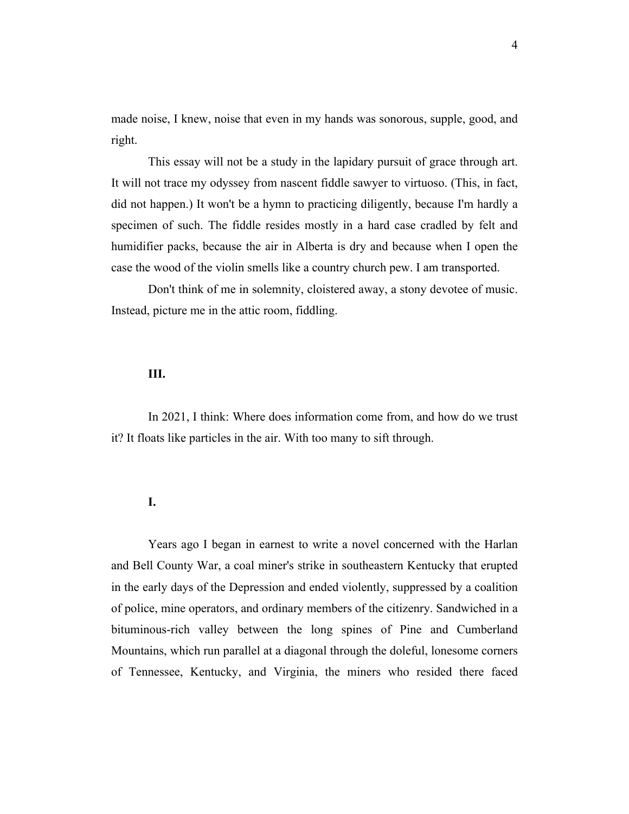made noise, I knew, noise that even in my hands was sonorous, supple, good, and right.

This essay will not be a study in the lapidary pursuit of grace through art. It will not trace my odyssey from nascent fiddle sawyer to virtuoso. (This, in fact, did not happen.) It won't be a hymn to practicing diligently, because I'm hardly a specimen of such. The fiddle resides mostly in a hard case cradled by felt and humidifier packs, because the air in Alberta is dry and because when I open the case the wood of the violin smells like a country church pew. I am transported.

Don't think of me in solemnity, cloistered away, a stony devotee of music. Instead, picture me in the attic room, fiddling.

# **III.**

In 2021, I think: Where does information come from, and how do we trust it? It floats like particles in the air. With too many to sift through.

#### **I.**

Years ago I began in earnest to write a novel concerned with the Harlan and Bell County War, a coal miner's strike in southeastern Kentucky that erupted in the early days of the Depression and ended violently, suppressed by a coalition of police, mine operators, and ordinary members of the citizenry. Sandwiched in a bituminous-rich valley between the long spines of Pine and Cumberland Mountains, which run parallel at a diagonal through the doleful, lonesome corners of Tennessee, Kentucky, and Virginia, the miners who resided there faced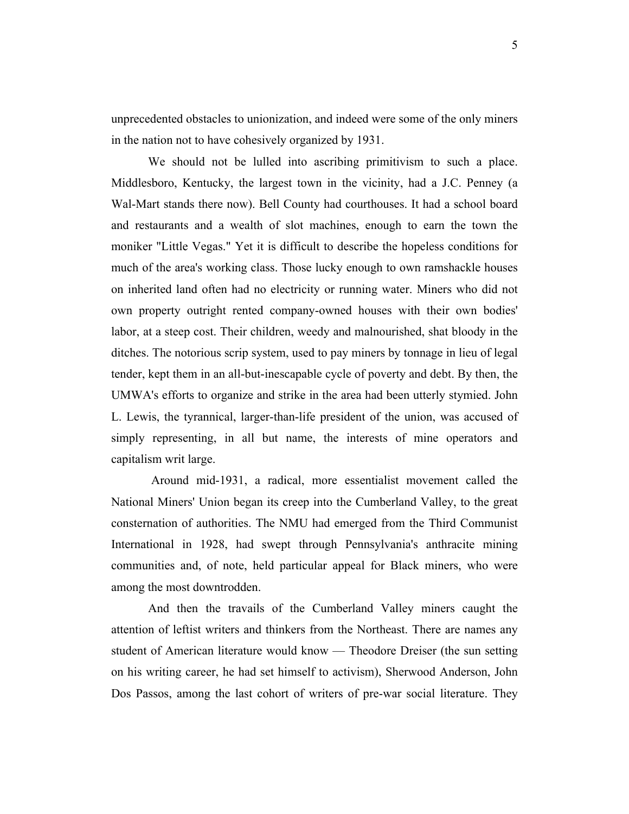unprecedented obstacles to unionization, and indeed were some of the only miners in the nation not to have cohesively organized by 1931.

We should not be lulled into ascribing primitivism to such a place. Middlesboro, Kentucky, the largest town in the vicinity, had a J.C. Penney (a Wal-Mart stands there now). Bell County had courthouses. It had a school board and restaurants and a wealth of slot machines, enough to earn the town the moniker "Little Vegas." Yet it is difficult to describe the hopeless conditions for much of the area's working class. Those lucky enough to own ramshackle houses on inherited land often had no electricity or running water. Miners who did not own property outright rented company-owned houses with their own bodies' labor, at a steep cost. Their children, weedy and malnourished, shat bloody in the ditches. The notorious scrip system, used to pay miners by tonnage in lieu of legal tender, kept them in an all-but-inescapable cycle of poverty and debt. By then, the UMWA's efforts to organize and strike in the area had been utterly stymied. John L. Lewis, the tyrannical, larger-than-life president of the union, was accused of simply representing, in all but name, the interests of mine operators and capitalism writ large.

Around mid-1931, a radical, more essentialist movement called the National Miners' Union began its creep into the Cumberland Valley, to the great consternation of authorities. The NMU had emerged from the Third Communist International in 1928, had swept through Pennsylvania's anthracite mining communities and, of note, held particular appeal for Black miners, who were among the most downtrodden.

And then the travails of the Cumberland Valley miners caught the attention of leftist writers and thinkers from the Northeast. There are names any student of American literature would know — Theodore Dreiser (the sun setting on his writing career, he had set himself to activism), Sherwood Anderson, John Dos Passos, among the last cohort of writers of pre-war social literature. They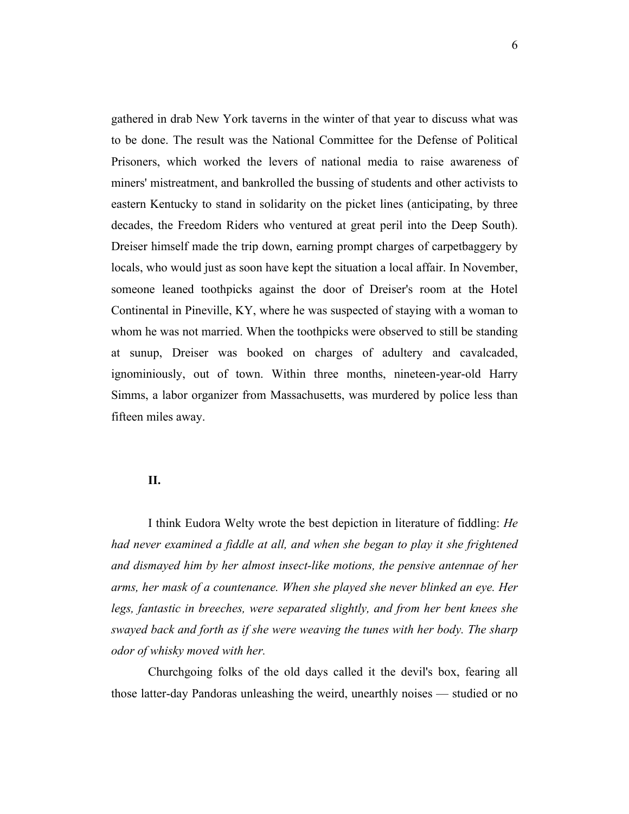gathered in drab New York taverns in the winter of that year to discuss what was to be done. The result was the National Committee for the Defense of Political Prisoners, which worked the levers of national media to raise awareness of miners' mistreatment, and bankrolled the bussing of students and other activists to eastern Kentucky to stand in solidarity on the picket lines (anticipating, by three decades, the Freedom Riders who ventured at great peril into the Deep South). Dreiser himself made the trip down, earning prompt charges of carpetbaggery by locals, who would just as soon have kept the situation a local affair. In November, someone leaned toothpicks against the door of Dreiser's room at the Hotel Continental in Pineville, KY, where he was suspected of staying with a woman to whom he was not married. When the toothpicks were observed to still be standing at sunup, Dreiser was booked on charges of adultery and cavalcaded, ignominiously, out of town. Within three months, nineteen-year-old Harry Simms, a labor organizer from Massachusetts, was murdered by police less than fifteen miles away.

## **II.**

I think Eudora Welty wrote the best depiction in literature of fiddling: *He had never examined a fiddle at all, and when she began to play it she frightened and dismayed him by her almost insect-like motions, the pensive antennae of her arms, her mask of a countenance. When she played she never blinked an eye. Her legs, fantastic in breeches, were separated slightly, and from her bent knees she swayed back and forth as if she were weaving the tunes with her body. The sharp odor of whisky moved with her.*

Churchgoing folks of the old days called it the devil's box, fearing all those latter-day Pandoras unleashing the weird, unearthly noises — studied or no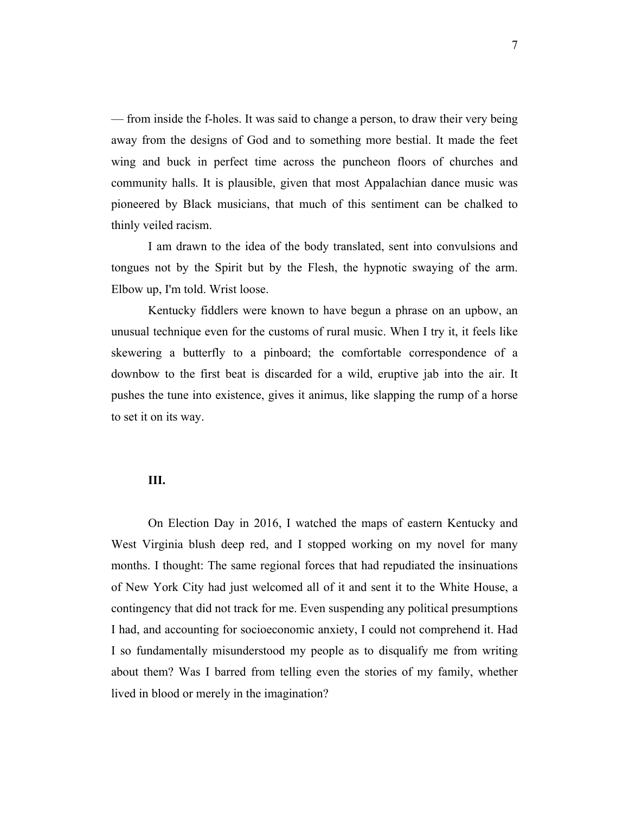— from inside the f-holes. It was said to change a person, to draw their very being away from the designs of God and to something more bestial. It made the feet wing and buck in perfect time across the puncheon floors of churches and community halls. It is plausible, given that most Appalachian dance music was pioneered by Black musicians, that much of this sentiment can be chalked to thinly veiled racism.

I am drawn to the idea of the body translated, sent into convulsions and tongues not by the Spirit but by the Flesh, the hypnotic swaying of the arm. Elbow up, I'm told. Wrist loose.

Kentucky fiddlers were known to have begun a phrase on an upbow, an unusual technique even for the customs of rural music. When I try it, it feels like skewering a butterfly to a pinboard; the comfortable correspondence of a downbow to the first beat is discarded for a wild, eruptive jab into the air. It pushes the tune into existence, gives it animus, like slapping the rump of a horse to set it on its way.

## **III.**

On Election Day in 2016, I watched the maps of eastern Kentucky and West Virginia blush deep red, and I stopped working on my novel for many months. I thought: The same regional forces that had repudiated the insinuations of New York City had just welcomed all of it and sent it to the White House, a contingency that did not track for me. Even suspending any political presumptions I had, and accounting for socioeconomic anxiety, I could not comprehend it. Had I so fundamentally misunderstood my people as to disqualify me from writing about them? Was I barred from telling even the stories of my family, whether lived in blood or merely in the imagination?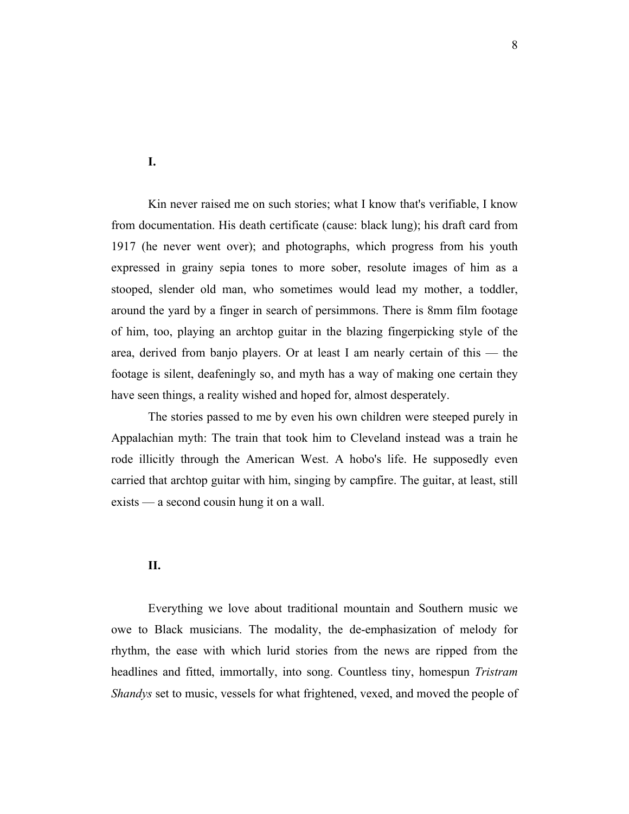**I.**

Kin never raised me on such stories; what I know that's verifiable, I know from documentation. His death certificate (cause: black lung); his draft card from 1917 (he never went over); and photographs, which progress from his youth expressed in grainy sepia tones to more sober, resolute images of him as a stooped, slender old man, who sometimes would lead my mother, a toddler, around the yard by a finger in search of persimmons. There is 8mm film footage of him, too, playing an archtop guitar in the blazing fingerpicking style of the area, derived from banjo players. Or at least I am nearly certain of this — the footage is silent, deafeningly so, and myth has a way of making one certain they have seen things, a reality wished and hoped for, almost desperately.

The stories passed to me by even his own children were steeped purely in Appalachian myth: The train that took him to Cleveland instead was a train he rode illicitly through the American West. A hobo's life. He supposedly even carried that archtop guitar with him, singing by campfire. The guitar, at least, still exists — a second cousin hung it on a wall.

# **II.**

Everything we love about traditional mountain and Southern music we owe to Black musicians. The modality, the de-emphasization of melody for rhythm, the ease with which lurid stories from the news are ripped from the headlines and fitted, immortally, into song. Countless tiny, homespun *Tristram Shandys* set to music, vessels for what frightened, vexed, and moved the people of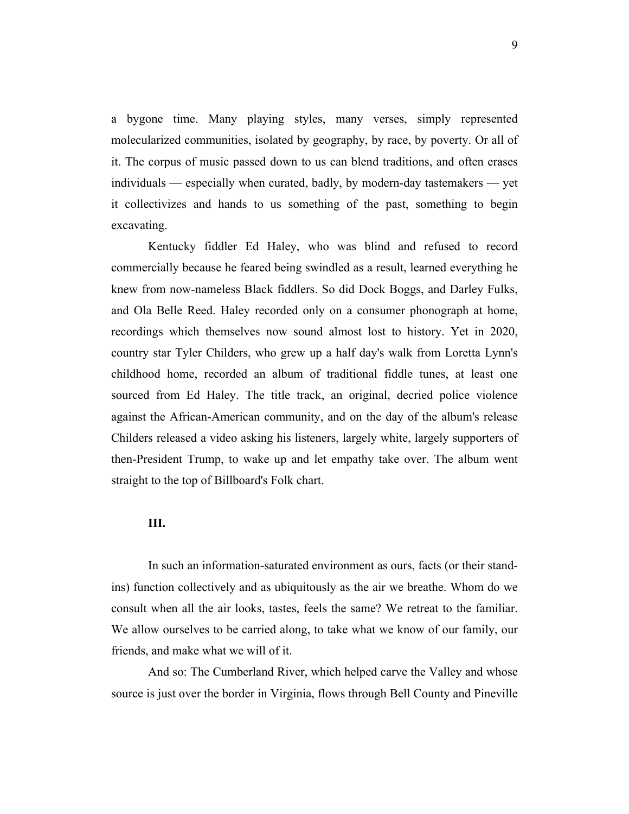a bygone time. Many playing styles, many verses, simply represented molecularized communities, isolated by geography, by race, by poverty. Or all of it. The corpus of music passed down to us can blend traditions, and often erases individuals — especially when curated, badly, by modern-day tastemakers — yet it collectivizes and hands to us something of the past, something to begin excavating.

Kentucky fiddler Ed Haley, who was blind and refused to record commercially because he feared being swindled as a result, learned everything he knew from now-nameless Black fiddlers. So did Dock Boggs, and Darley Fulks, and Ola Belle Reed. Haley recorded only on a consumer phonograph at home, recordings which themselves now sound almost lost to history. Yet in 2020, country star Tyler Childers, who grew up a half day's walk from Loretta Lynn's childhood home, recorded an album of traditional fiddle tunes, at least one sourced from Ed Haley. The title track, an original, decried police violence against the African-American community, and on the day of the album's release Childers released a video asking his listeners, largely white, largely supporters of then-President Trump, to wake up and let empathy take over. The album went straight to the top of Billboard's Folk chart.

#### **III.**

In such an information-saturated environment as ours, facts (or their standins) function collectively and as ubiquitously as the air we breathe. Whom do we consult when all the air looks, tastes, feels the same? We retreat to the familiar. We allow ourselves to be carried along, to take what we know of our family, our friends, and make what we will of it.

And so: The Cumberland River, which helped carve the Valley and whose source is just over the border in Virginia, flows through Bell County and Pineville